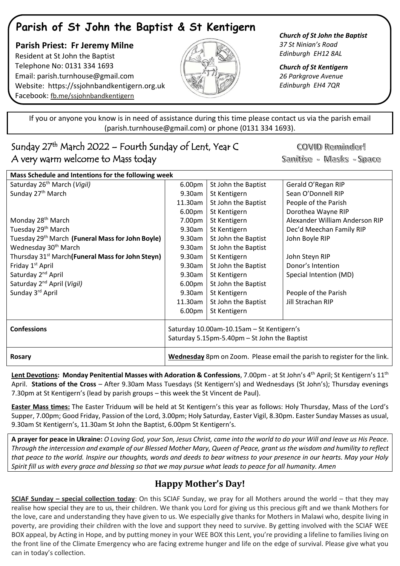# **Parish of St John the Baptist & St Kentigern**

 **Parish Priest: Fr Jeremy Milne** Resident at St John the Baptist Telephone No: 0131 334 1693 Email: [parish.turnhouse@gmail.com](mailto:parish.turnhouse@gmail.com)  Website: [https://ssjohnbandkentigern.org.uk](https://ssjohnbandkentigern.org.uk/) Facebook: [fb.me/ssjohnbandkentigern](https://fb.me/ssjohnbandkentigern)



*Church of St John the Baptist 37 St Ninian's Road Edinburgh EH12 8AL*

*Church of St Kentigern 26 Parkgrove Avenue Edinburgh EH4 7QR*

֡֡֡֡֡ If you or anyone you know is in need of assistance during this time please contact us via the parish email (parish.turnhouse@gmail.com) or phone (0131 334 1693).

### I Sunday 27<sup>th</sup> March 2022 – Fourth Sunday of Lent, Year C A very warm welcome to Mass today

COVID Reminder! Sanitise - Masks - Space

| Mass Schedule and Intentions for the following week          |                                                                          |                     |                                |
|--------------------------------------------------------------|--------------------------------------------------------------------------|---------------------|--------------------------------|
| Saturday 26 <sup>th</sup> March (Vigil)                      | 6.00pm                                                                   | St John the Baptist | Gerald O'Regan RIP             |
| Sunday 27 <sup>th</sup> March                                | 9.30am                                                                   | St Kentigern        | Sean O'Donnell RIP             |
|                                                              | 11.30am                                                                  | St John the Baptist | People of the Parish           |
|                                                              | 6.00 <sub>pm</sub>                                                       | St Kentigern        | Dorothea Wayne RIP             |
| Monday 28 <sup>th</sup> March                                | 7.00pm                                                                   | St Kentigern        | Alexander William Anderson RIP |
| Tuesday 29 <sup>th</sup> March                               | 9.30am                                                                   | St Kentigern        | Dec'd Meechan Family RIP       |
| Tuesday 29th March (Funeral Mass for John Boyle)             | 9.30am                                                                   | St John the Baptist | John Boyle RIP                 |
| Wednesday 30 <sup>th</sup> March                             | 9.30am                                                                   | St John the Baptist |                                |
| Thursday 31 <sup>st</sup> March(Funeral Mass for John Steyn) | 9.30am                                                                   | St Kentigern        | John Steyn RIP                 |
| Friday 1 <sup>st</sup> April                                 | 9.30am                                                                   | St John the Baptist | Donor's Intention              |
| Saturday 2 <sup>nd</sup> April                               | 9.30am                                                                   | St Kentigern        | Special Intention (MD)         |
| Saturday 2 <sup>nd</sup> April (Vigil)                       | 6.00 <sub>pm</sub>                                                       | St John the Baptist |                                |
| Sunday 3rd April                                             | 9.30am                                                                   | St Kentigern        | People of the Parish           |
|                                                              | 11.30am                                                                  | St John the Baptist | Jill Strachan RIP              |
|                                                              | 6.00pm                                                                   | St Kentigern        |                                |
| <b>Confessions</b>                                           | Saturday 10.00am-10.15am - St Kentigern's                                |                     |                                |
|                                                              | Saturday 5.15pm-5.40pm - St John the Baptist                             |                     |                                |
| Rosary                                                       | Wednesday 8pm on Zoom. Please email the parish to register for the link. |                     |                                |

**Lent Devotions: Monday Penitential Masses with Adoration & Confessions**, 7.00pm - at St John's 4 th April; St Kentigern's 11th April. **Stations of the Cross** – After 9.30am Mass Tuesdays (St Kentigern's) and Wednesdays (St John's); Thursday evenings 7.30pm at St Kentigern's (lead by parish groups – this week the St Vincent de Paul).

**Easter Mass times:** The Easter Triduum will be held at St Kentigern's this year as follows: Holy Thursday, Mass of the Lord's Supper, 7.00pm; Good Friday, Passion of the Lord, 3.00pm; Holy Saturday, Easter Vigil, 8.30pm. Easter Sunday Masses as usual, 9.30am St Kentigern's, 11.30am St John the Baptist, 6.00pm St Kentigern's.

**A prayer for peace in Ukraine:** *O Loving God, your Son, Jesus Christ, came into the world to do your Will and leave us His Peace. Through the intercession and example of our Blessed Mother Mary, Queen of Peace, grant us the wisdom and humility to reflect that peace to the world. Inspire our thoughts, words and deeds to bear witness to your presence in our hearts. May your Holy Spirit fill us with every grace and blessing so that we may pursue what leads to peace for all humanity. Amen*

## **Happy Mother's Day!**

**SCIAF Sunday – special collection today**: On this SCIAF Sunday, we pray for all Mothers around the world – that they may realise how special they are to us, their children. We thank you Lord for giving us this precious gift and we thank Mothers for the love, care and understanding they have given to us. We especially give thanks for Mothers in Malawi who, despite living in poverty, are providing their children with the love and support they need to survive. By getting involved with the SCIAF WEE BOX appeal, by Acting in Hope, and by putting money in your WEE BOX this Lent, you're providing a lifeline to families living on the front line of the Climate Emergency who are facing extreme hunger and life on the edge of survival. Please give what you can in today's collection.